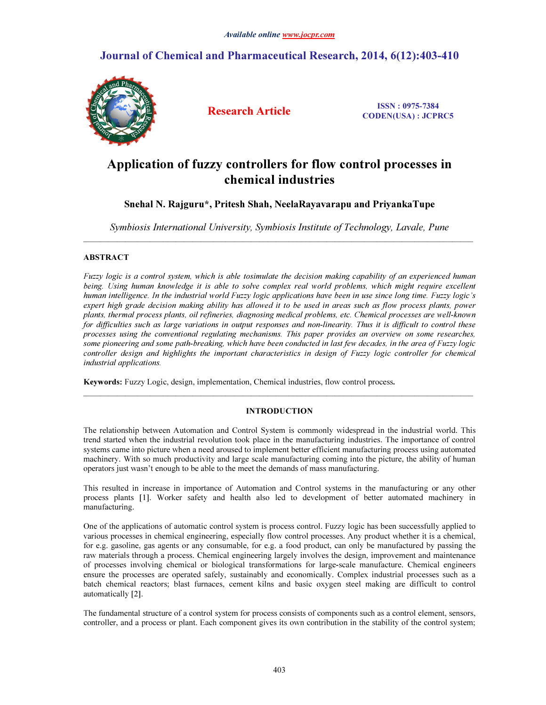# Journal of Chemical and Pharmaceutical Research, 2014, 6(12):403-410



Research Article ISSN : 0975-7384 CODEN(USA) : JCPRC5

# Application of fuzzy controllers for flow control processes in chemical industries

# Snehal N. Rajguru\*, Pritesh Shah, NeelaRayavarapu and PriyankaTupe

Symbiosis International University, Symbiosis Institute of Technology, Lavale, Pune  $\bot$  , and the contribution of the contribution of the contribution of the contribution of  $\bot$ 

## ABSTRACT

Fuzzy logic is a control system, which is able tosimulate the decision making capability of an experienced human being. Using human knowledge it is able to solve complex real world problems, which might require excellent human intelligence. In the industrial world Fuzzy logic applications have been in use since long time. Fuzzy logic's expert high grade decision making ability has allowed it to be used in areas such as flow process plants, power plants, thermal process plants, oil refineries, diagnosing medical problems, etc. Chemical processes are well-known for difficulties such as large variations in output responses and non-linearity. Thus it is difficult to control these processes using the conventional regulating mechanisms. This paper provides an overview on some researches, some pioneering and some path-breaking, which have been conducted in last few decades, in the area of Fuzzy logic controller design and highlights the important characteristics in design of Fuzzy logic controller for chemical industrial applications.

Keywords: Fuzzy Logic, design, implementation, Chemical industries, flow control process.

## INTRODUCTION

 $\mathcal{L}_\mathcal{L} = \{ \mathcal{L}_\mathcal{L} = \{ \mathcal{L}_\mathcal{L} = \{ \mathcal{L}_\mathcal{L} = \{ \mathcal{L}_\mathcal{L} = \{ \mathcal{L}_\mathcal{L} = \{ \mathcal{L}_\mathcal{L} = \{ \mathcal{L}_\mathcal{L} = \{ \mathcal{L}_\mathcal{L} = \{ \mathcal{L}_\mathcal{L} = \{ \mathcal{L}_\mathcal{L} = \{ \mathcal{L}_\mathcal{L} = \{ \mathcal{L}_\mathcal{L} = \{ \mathcal{L}_\mathcal{L} = \{ \mathcal{L}_\mathcal{$ 

The relationship between Automation and Control System is commonly widespread in the industrial world. This trend started when the industrial revolution took place in the manufacturing industries. The importance of control systems came into picture when a need aroused to implement better efficient manufacturing process using automated machinery. With so much productivity and large scale manufacturing coming into the picture, the ability of human operators just wasn't enough to be able to the meet the demands of mass manufacturing.

This resulted in increase in importance of Automation and Control systems in the manufacturing or any other process plants [1]. Worker safety and health also led to development of better automated machinery in manufacturing.

One of the applications of automatic control system is process control. Fuzzy logic has been successfully applied to various processes in chemical engineering, especially flow control processes. Any product whether it is a chemical, for e.g. gasoline, gas agents or any consumable, for e.g. a food product, can only be manufactured by passing the raw materials through a process. Chemical engineering largely involves the design, improvement and maintenance of processes involving chemical or biological transformations for large-scale manufacture. Chemical engineers ensure the processes are operated safely, sustainably and economically. Complex industrial processes such as a batch chemical reactors; blast furnaces, cement kilns and basic oxygen steel making are difficult to control automatically [2].

The fundamental structure of a control system for process consists of components such as a control element, sensors, controller, and a process or plant. Each component gives its own contribution in the stability of the control system;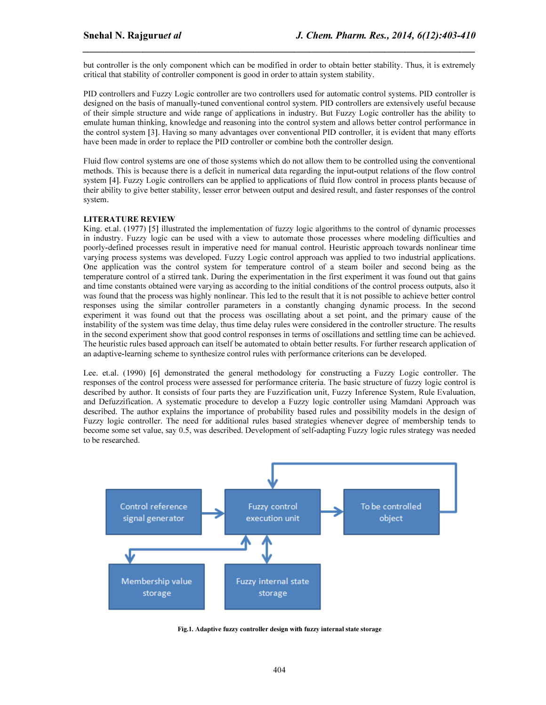but controller is the only component which can be modified in order to obtain better stability. Thus, it is extremely critical that stability of controller component is good in order to attain system stability.

*\_\_\_\_\_\_\_\_\_\_\_\_\_\_\_\_\_\_\_\_\_\_\_\_\_\_\_\_\_\_\_\_\_\_\_\_\_\_\_\_\_\_\_\_\_\_\_\_\_\_\_\_\_\_\_\_\_\_\_\_\_\_\_\_\_\_\_\_\_\_\_\_\_\_\_\_\_\_*

PID controllers and Fuzzy Logic controller are two controllers used for automatic control systems. PID controller is designed on the basis of manually-tuned conventional control system. PID controllers are extensively useful because of their simple structure and wide range of applications in industry. But Fuzzy Logic controller has the ability to emulate human thinking, knowledge and reasoning into the control system and allows better control performance in the control system [3]. Having so many advantages over conventional PID controller, it is evident that many efforts have been made in order to replace the PID controller or combine both the controller design.

Fluid flow control systems are one of those systems which do not allow them to be controlled using the conventional methods. This is because there is a deficit in numerical data regarding the input-output relations of the flow control system [4]. Fuzzy Logic controllers can be applied to applications of fluid flow control in process plants because of their ability to give better stability, lesser error between output and desired result, and faster responses of the control system.

### LITERATURE REVIEW

King. et.al. (1977) [5] illustrated the implementation of fuzzy logic algorithms to the control of dynamic processes in industry. Fuzzy logic can be used with a view to automate those processes where modeling difficulties and poorly-defined processes result in imperative need for manual control. Heuristic approach towards nonlinear time varying process systems was developed. Fuzzy Logic control approach was applied to two industrial applications. One application was the control system for temperature control of a steam boiler and second being as the temperature control of a stirred tank. During the experimentation in the first experiment it was found out that gains and time constants obtained were varying as according to the initial conditions of the control process outputs, also it was found that the process was highly nonlinear. This led to the result that it is not possible to achieve better control responses using the similar controller parameters in a constantly changing dynamic process. In the second experiment it was found out that the process was oscillating about a set point, and the primary cause of the instability of the system was time delay, thus time delay rules were considered in the controller structure. The results in the second experiment show that good control responses in terms of oscillations and settling time can be achieved. The heuristic rules based approach can itself be automated to obtain better results. For further research application of an adaptive-learning scheme to synthesize control rules with performance criterions can be developed.

Lee. et.al. (1990) [6] demonstrated the general methodology for constructing a Fuzzy Logic controller. The responses of the control process were assessed for performance criteria. The basic structure of fuzzy logic control is described by author. It consists of four parts they are Fuzzification unit, Fuzzy Inference System, Rule Evaluation, and Defuzzification. A systematic procedure to develop a Fuzzy logic controller using Mamdani Approach was described. The author explains the importance of probability based rules and possibility models in the design of Fuzzy logic controller. The need for additional rules based strategies whenever degree of membership tends to become some set value, say 0.5, was described. Development of self-adapting Fuzzy logic rules strategy was needed to be researched.



Fig.1. Adaptive fuzzy controller design with fuzzy internal state storage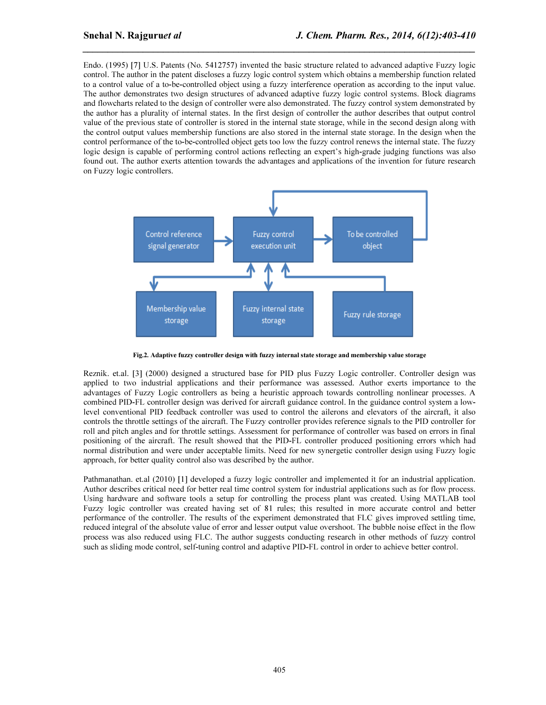Endo. (1995) [7] U.S. Patents (No. 5412757) invented the basic structure related to advanced adaptive Fuzzy logic control. The author in the patent discloses a fuzzy logic control system which obtains a membership function related to a control value of a to-be-controlled object using a fuzzy interference operation as according to the input value. The author demonstrates two design structures of advanced adaptive fuzzy logic control systems. Block diagrams and flowcharts related to the design of controller were also demonstrated. The fuzzy control system demonstrated by the author has a plurality of internal states. In the first design of controller the author describes that output control value of the previous state of controller is stored in the internal state storage, while in the second design along with the control output values membership functions are also stored in the internal state storage. In the design when the control performance of the to-be-controlled object gets too low the fuzzy control renews the internal state. The fuzzy logic design is capable of performing control actions reflecting an expert's high-grade judging functions was also found out. The author exerts attention towards the advantages and applications of the invention for future research on Fuzzy logic controllers.

*\_\_\_\_\_\_\_\_\_\_\_\_\_\_\_\_\_\_\_\_\_\_\_\_\_\_\_\_\_\_\_\_\_\_\_\_\_\_\_\_\_\_\_\_\_\_\_\_\_\_\_\_\_\_\_\_\_\_\_\_\_\_\_\_\_\_\_\_\_\_\_\_\_\_\_\_\_\_*



Fig.2. Adaptive fuzzy controller design with fuzzy internal state storage and membership value storage

Reznik. et.al. [3] (2000) designed a structured base for PID plus Fuzzy Logic controller. Controller design was applied to two industrial applications and their performance was assessed. Author exerts importance to the advantages of Fuzzy Logic controllers as being a heuristic approach towards controlling nonlinear processes. A combined PID-FL controller design was derived for aircraft guidance control. In the guidance control system a lowlevel conventional PID feedback controller was used to control the ailerons and elevators of the aircraft, it also controls the throttle settings of the aircraft. The Fuzzy controller provides reference signals to the PID controller for roll and pitch angles and for throttle settings. Assessment for performance of controller was based on errors in final positioning of the aircraft. The result showed that the PID-FL controller produced positioning errors which had normal distribution and were under acceptable limits. Need for new synergetic controller design using Fuzzy logic approach, for better quality control also was described by the author.

Pathmanathan. et.al (2010) [1] developed a fuzzy logic controller and implemented it for an industrial application. Author describes critical need for better real time control system for industrial applications such as for flow process. Using hardware and software tools a setup for controlling the process plant was created. Using MATLAB tool Fuzzy logic controller was created having set of 81 rules; this resulted in more accurate control and better performance of the controller. The results of the experiment demonstrated that FLC gives improved settling time, reduced integral of the absolute value of error and lesser output value overshoot. The bubble noise effect in the flow process was also reduced using FLC. The author suggests conducting research in other methods of fuzzy control such as sliding mode control, self-tuning control and adaptive PID-FL control in order to achieve better control.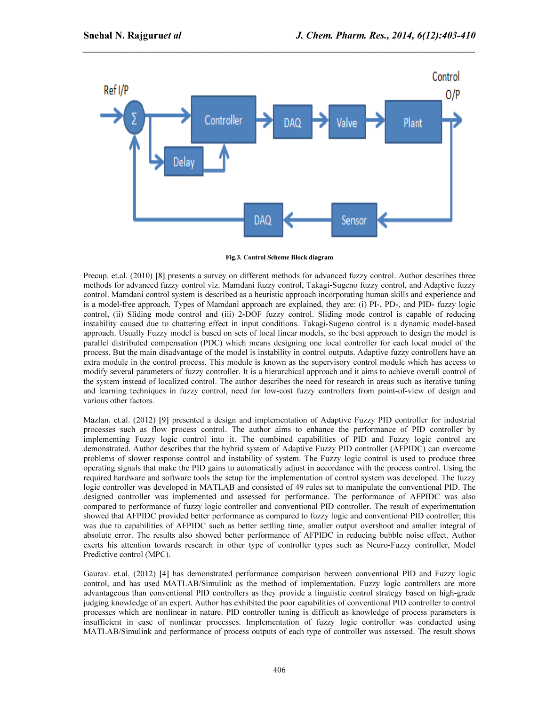

*\_\_\_\_\_\_\_\_\_\_\_\_\_\_\_\_\_\_\_\_\_\_\_\_\_\_\_\_\_\_\_\_\_\_\_\_\_\_\_\_\_\_\_\_\_\_\_\_\_\_\_\_\_\_\_\_\_\_\_\_\_\_\_\_\_\_\_\_\_\_\_\_\_\_\_\_\_\_*

Fig.3. Control Scheme Block diagram

Precup. et.al. (2010) [8] presents a survey on different methods for advanced fuzzy control. Author describes three methods for advanced fuzzy control viz. Mamdani fuzzy control, Takagi-Sugeno fuzzy control, and Adaptive fuzzy control. Mamdani control system is described as a heuristic approach incorporating human skills and experience and is a model-free approach. Types of Mamdani approach are explained, they are: (i) PI-, PD-, and PID- fuzzy logic control, (ii) Sliding mode control and (iii) 2-DOF fuzzy control. Sliding mode control is capable of reducing instability caused due to chattering effect in input conditions. Takagi-Sugeno control is a dynamic model-based approach. Usually Fuzzy model is based on sets of local linear models, so the best approach to design the model is parallel distributed compensation (PDC) which means designing one local controller for each local model of the process. But the main disadvantage of the model is instability in control outputs. Adaptive fuzzy controllers have an extra module in the control process. This module is known as the supervisory control module which has access to modify several parameters of fuzzy controller. It is a hierarchical approach and it aims to achieve overall control of the system instead of localized control. The author describes the need for research in areas such as iterative tuning and learning techniques in fuzzy control, need for low-cost fuzzy controllers from point-of-view of design and various other factors.

Mazlan. et.al. (2012) [9] presented a design and implementation of Adaptive Fuzzy PID controller for industrial processes such as flow process control. The author aims to enhance the performance of PID controller by implementing Fuzzy logic control into it. The combined capabilities of PID and Fuzzy logic control are demonstrated. Author describes that the hybrid system of Adaptive Fuzzy PID controller (AFPIDC) can overcome problems of slower response control and instability of system. The Fuzzy logic control is used to produce three operating signals that make the PID gains to automatically adjust in accordance with the process control. Using the required hardware and software tools the setup for the implementation of control system was developed. The fuzzy logic controller was developed in MATLAB and consisted of 49 rules set to manipulate the conventional PID. The designed controller was implemented and assessed for performance. The performance of AFPIDC was also compared to performance of fuzzy logic controller and conventional PID controller. The result of experimentation showed that AFPIDC provided better performance as compared to fuzzy logic and conventional PID controller; this was due to capabilities of AFPIDC such as better settling time, smaller output overshoot and smaller integral of absolute error. The results also showed better performance of AFPIDC in reducing bubble noise effect. Author exerts his attention towards research in other type of controller types such as Neuro-Fuzzy controller, Model Predictive control (MPC).

Gaurav. et.al. (2012) [4] has demonstrated performance comparison between conventional PID and Fuzzy logic control, and has used MATLAB/Simulink as the method of implementation. Fuzzy logic controllers are more advantageous than conventional PID controllers as they provide a linguistic control strategy based on high-grade judging knowledge of an expert. Author has exhibited the poor capabilities of conventional PID controller to control processes which are nonlinear in nature. PID controller tuning is difficult as knowledge of process parameters is insufficient in case of nonlinear processes. Implementation of fuzzy logic controller was conducted using MATLAB/Simulink and performance of process outputs of each type of controller was assessed. The result shows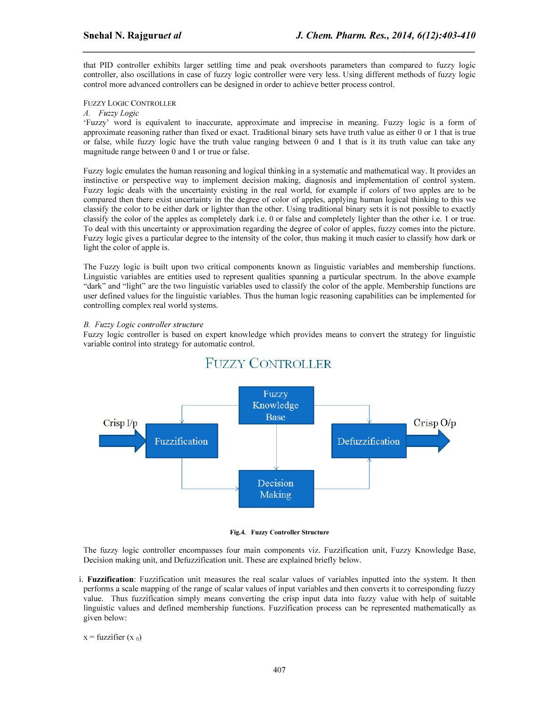that PID controller exhibits larger settling time and peak overshoots parameters than compared to fuzzy logic controller, also oscillations in case of fuzzy logic controller were very less. Using different methods of fuzzy logic control more advanced controllers can be designed in order to achieve better process control.

*\_\_\_\_\_\_\_\_\_\_\_\_\_\_\_\_\_\_\_\_\_\_\_\_\_\_\_\_\_\_\_\_\_\_\_\_\_\_\_\_\_\_\_\_\_\_\_\_\_\_\_\_\_\_\_\_\_\_\_\_\_\_\_\_\_\_\_\_\_\_\_\_\_\_\_\_\_\_*

### FUZZY LOGIC CONTROLLER

## A. Fuzzy Logic

'Fuzzy' word is equivalent to inaccurate, approximate and imprecise in meaning. Fuzzy logic is a form of approximate reasoning rather than fixed or exact. Traditional binary sets have truth value as either 0 or 1 that is true or false, while fuzzy logic have the truth value ranging between 0 and 1 that is it its truth value can take any magnitude range between 0 and 1 or true or false.

Fuzzy logic emulates the human reasoning and logical thinking in a systematic and mathematical way. It provides an instinctive or perspective way to implement decision making, diagnosis and implementation of control system. Fuzzy logic deals with the uncertainty existing in the real world, for example if colors of two apples are to be compared then there exist uncertainty in the degree of color of apples, applying human logical thinking to this we classify the color to be either dark or lighter than the other. Using traditional binary sets it is not possible to exactly classify the color of the apples as completely dark i.e. 0 or false and completely lighter than the other i.e. 1 or true. To deal with this uncertainty or approximation regarding the degree of color of apples, fuzzy comes into the picture. Fuzzy logic gives a particular degree to the intensity of the color, thus making it much easier to classify how dark or light the color of apple is.

The Fuzzy logic is built upon two critical components known as linguistic variables and membership functions. Linguistic variables are entities used to represent qualities spanning a particular spectrum. In the above example "dark" and "light" are the two linguistic variables used to classify the color of the apple. Membership functions are user defined values for the linguistic variables. Thus the human logic reasoning capabilities can be implemented for controlling complex real world systems.

### B. Fuzzy Logic controller structure

Fuzzy logic controller is based on expert knowledge which provides means to convert the strategy for linguistic variable control into strategy for automatic control.



# **FUZZY CONTROLLER**

#### Fig.4. Fuzzy Controller Structure

The fuzzy logic controller encompasses four main components viz. Fuzzification unit, Fuzzy Knowledge Base, Decision making unit, and Defuzzification unit. These are explained briefly below.

i. Fuzzification: Fuzzification unit measures the real scalar values of variables inputted into the system. It then performs a scale mapping of the range of scalar values of input variables and then converts it to corresponding fuzzy value. Thus fuzzification simply means converting the crisp input data into fuzzy value with help of suitable linguistic values and defined membership functions. Fuzzification process can be represented mathematically as given below:

$$
x =
$$
 fuzzifier  $(x_0)$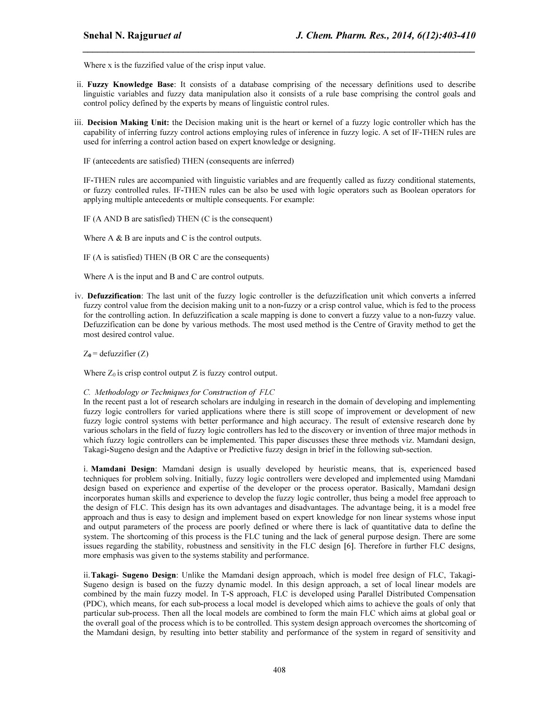Where x is the fuzzified value of the crisp input value.

ii. Fuzzy Knowledge Base: It consists of a database comprising of the necessary definitions used to describe linguistic variables and fuzzy data manipulation also it consists of a rule base comprising the control goals and control policy defined by the experts by means of linguistic control rules.

*\_\_\_\_\_\_\_\_\_\_\_\_\_\_\_\_\_\_\_\_\_\_\_\_\_\_\_\_\_\_\_\_\_\_\_\_\_\_\_\_\_\_\_\_\_\_\_\_\_\_\_\_\_\_\_\_\_\_\_\_\_\_\_\_\_\_\_\_\_\_\_\_\_\_\_\_\_\_*

iii. Decision Making Unit: the Decision making unit is the heart or kernel of a fuzzy logic controller which has the capability of inferring fuzzy control actions employing rules of inference in fuzzy logic. A set of IF-THEN rules are used for inferring a control action based on expert knowledge or designing.

IF (antecedents are satisfied) THEN (consequents are inferred)

IF-THEN rules are accompanied with linguistic variables and are frequently called as fuzzy conditional statements, or fuzzy controlled rules. IF-THEN rules can be also be used with logic operators such as Boolean operators for applying multiple antecedents or multiple consequents. For example:

IF (A AND B are satisfied) THEN (C is the consequent)

Where  $A \& B$  are inputs and  $C$  is the control outputs.

IF (A is satisfied) THEN (B OR C are the consequents)

Where A is the input and B and C are control outputs.

iv. Defuzzification: The last unit of the fuzzy logic controller is the defuzzification unit which converts a inferred fuzzy control value from the decision making unit to a non-fuzzy or a crisp control value, which is fed to the process for the controlling action. In defuzzification a scale mapping is done to convert a fuzzy value to a non-fuzzy value. Defuzzification can be done by various methods. The most used method is the Centre of Gravity method to get the most desired control value.

 $Z_0$  = defuzzifier  $(Z)$ 

Where  $Z_0$  is crisp control output Z is fuzzy control output.

#### C. Methodology or Techniques for Construction of FLC

In the recent past a lot of research scholars are indulging in research in the domain of developing and implementing fuzzy logic controllers for varied applications where there is still scope of improvement or development of new fuzzy logic control systems with better performance and high accuracy. The result of extensive research done by various scholars in the field of fuzzy logic controllers has led to the discovery or invention of three major methods in which fuzzy logic controllers can be implemented. This paper discusses these three methods viz. Mamdani design, Takagi-Sugeno design and the Adaptive or Predictive fuzzy design in brief in the following sub-section.

i. Mamdani Design: Mamdani design is usually developed by heuristic means, that is, experienced based techniques for problem solving. Initially, fuzzy logic controllers were developed and implemented using Mamdani design based on experience and expertise of the developer or the process operator. Basically, Mamdani design incorporates human skills and experience to develop the fuzzy logic controller, thus being a model free approach to the design of FLC. This design has its own advantages and disadvantages. The advantage being, it is a model free approach and thus is easy to design and implement based on expert knowledge for non linear systems whose input and output parameters of the process are poorly defined or where there is lack of quantitative data to define the system. The shortcoming of this process is the FLC tuning and the lack of general purpose design. There are some issues regarding the stability, robustness and sensitivity in the FLC design [6]. Therefore in further FLC designs, more emphasis was given to the systems stability and performance.

ii.Takagi- Sugeno Design: Unlike the Mamdani design approach, which is model free design of FLC, Takagi-Sugeno design is based on the fuzzy dynamic model. In this design approach, a set of local linear models are combined by the main fuzzy model. In T-S approach, FLC is developed using Parallel Distributed Compensation (PDC), which means, for each sub-process a local model is developed which aims to achieve the goals of only that particular sub-process. Then all the local models are combined to form the main FLC which aims at global goal or the overall goal of the process which is to be controlled. This system design approach overcomes the shortcoming of the Mamdani design, by resulting into better stability and performance of the system in regard of sensitivity and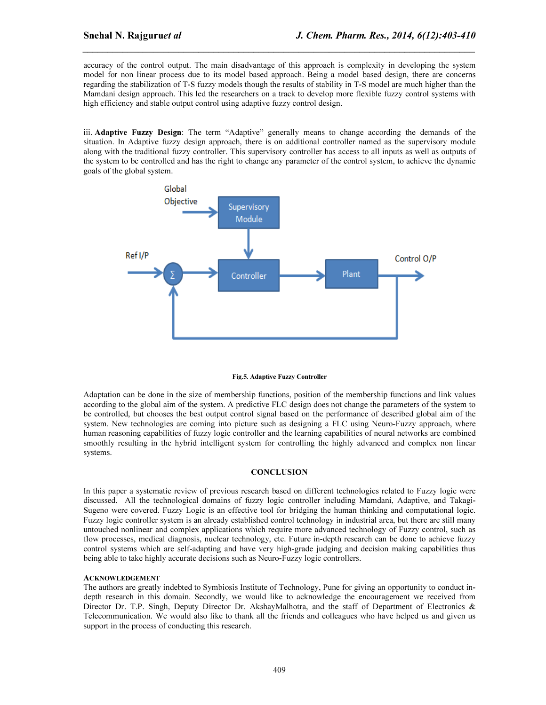accuracy of the control output. The main disadvantage of this approach is complexity in developing the system model for non linear process due to its model based approach. Being a model based design, there are concerns regarding the stabilization of T-S fuzzy models though the results of stability in T-S model are much higher than the Mamdani design approach. This led the researchers on a track to develop more flexible fuzzy control systems with high efficiency and stable output control using adaptive fuzzy control design.

*\_\_\_\_\_\_\_\_\_\_\_\_\_\_\_\_\_\_\_\_\_\_\_\_\_\_\_\_\_\_\_\_\_\_\_\_\_\_\_\_\_\_\_\_\_\_\_\_\_\_\_\_\_\_\_\_\_\_\_\_\_\_\_\_\_\_\_\_\_\_\_\_\_\_\_\_\_\_*

iii. Adaptive Fuzzy Design: The term "Adaptive" generally means to change according the demands of the situation. In Adaptive fuzzy design approach, there is on additional controller named as the supervisory module along with the traditional fuzzy controller. This supervisory controller has access to all inputs as well as outputs of the system to be controlled and has the right to change any parameter of the control system, to achieve the dynamic goals of the global system.



#### Fig.5. Adaptive Fuzzy Controller

Adaptation can be done in the size of membership functions, position of the membership functions and link values according to the global aim of the system. A predictive FLC design does not change the parameters of the system to be controlled, but chooses the best output control signal based on the performance of described global aim of the system. New technologies are coming into picture such as designing a FLC using Neuro-Fuzzy approach, where human reasoning capabilities of fuzzy logic controller and the learning capabilities of neural networks are combined smoothly resulting in the hybrid intelligent system for controlling the highly advanced and complex non linear systems.

#### **CONCLUSION**

In this paper a systematic review of previous research based on different technologies related to Fuzzy logic were discussed. All the technological domains of fuzzy logic controller including Mamdani, Adaptive, and Takagi-Sugeno were covered. Fuzzy Logic is an effective tool for bridging the human thinking and computational logic. Fuzzy logic controller system is an already established control technology in industrial area, but there are still many untouched nonlinear and complex applications which require more advanced technology of Fuzzy control, such as flow processes, medical diagnosis, nuclear technology, etc. Future in-depth research can be done to achieve fuzzy control systems which are self-adapting and have very high-grade judging and decision making capabilities thus being able to take highly accurate decisions such as Neuro-Fuzzy logic controllers.

#### ACKNOWLEDGEMENT

The authors are greatly indebted to Symbiosis Institute of Technology, Pune for giving an opportunity to conduct indepth research in this domain. Secondly, we would like to acknowledge the encouragement we received from Director Dr. T.P. Singh, Deputy Director Dr. AkshayMalhotra, and the staff of Department of Electronics & Telecommunication. We would also like to thank all the friends and colleagues who have helped us and given us support in the process of conducting this research.